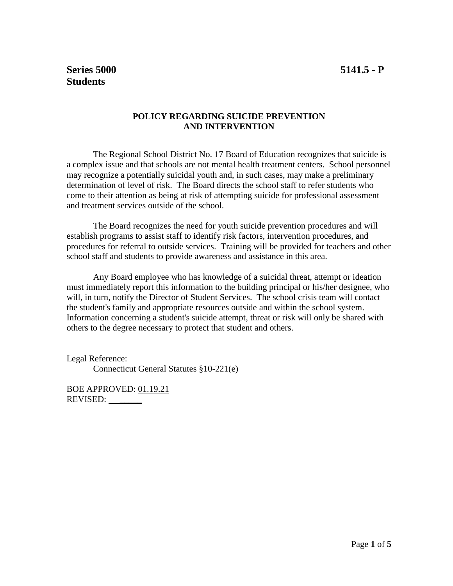## **POLICY REGARDING SUICIDE PREVENTION AND INTERVENTION**

The Regional School District No. 17 Board of Education recognizes that suicide is a complex issue and that schools are not mental health treatment centers. School personnel may recognize a potentially suicidal youth and, in such cases, may make a preliminary determination of level of risk. The Board directs the school staff to refer students who come to their attention as being at risk of attempting suicide for professional assessment and treatment services outside of the school.

The Board recognizes the need for youth suicide prevention procedures and will establish programs to assist staff to identify risk factors, intervention procedures, and procedures for referral to outside services. Training will be provided for teachers and other school staff and students to provide awareness and assistance in this area.

Any Board employee who has knowledge of a suicidal threat, attempt or ideation must immediately report this information to the building principal or his/her designee, who will, in turn, notify the Director of Student Services. The school crisis team will contact the student's family and appropriate resources outside and within the school system. Information concerning a student's suicide attempt, threat or risk will only be shared with others to the degree necessary to protect that student and others.

Legal Reference:

Connecticut General Statutes §10-221(e)

BOE APPROVED: 01.19.21 REVISED: \_\_\_\_\_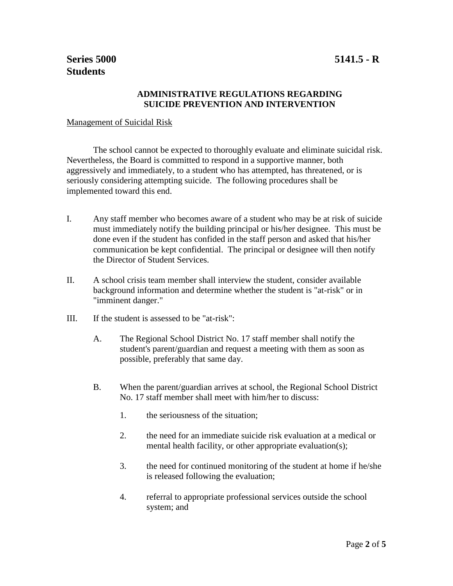## **ADMINISTRATIVE REGULATIONS REGARDING SUICIDE PREVENTION AND INTERVENTION**

## Management of Suicidal Risk

The school cannot be expected to thoroughly evaluate and eliminate suicidal risk. Nevertheless, the Board is committed to respond in a supportive manner, both aggressively and immediately, to a student who has attempted, has threatened, or is seriously considering attempting suicide. The following procedures shall be implemented toward this end.

- I. Any staff member who becomes aware of a student who may be at risk of suicide must immediately notify the building principal or his/her designee. This must be done even if the student has confided in the staff person and asked that his/her communication be kept confidential. The principal or designee will then notify the Director of Student Services.
- II. A school crisis team member shall interview the student, consider available background information and determine whether the student is "at-risk" or in "imminent danger."
- III. If the student is assessed to be "at-risk":
	- A. The Regional School District No. 17 staff member shall notify the student's parent/guardian and request a meeting with them as soon as possible, preferably that same day.
	- B. When the parent/guardian arrives at school, the Regional School District No. 17 staff member shall meet with him/her to discuss:
		- 1. the seriousness of the situation;
		- 2. the need for an immediate suicide risk evaluation at a medical or mental health facility, or other appropriate evaluation(s);
		- 3. the need for continued monitoring of the student at home if he/she is released following the evaluation;
		- 4. referral to appropriate professional services outside the school system; and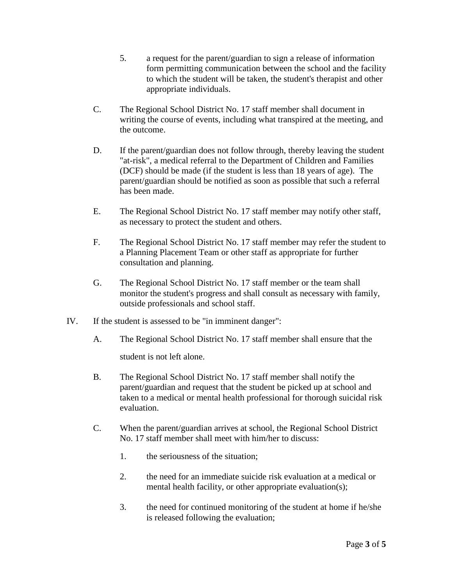- 5. a request for the parent/guardian to sign a release of information form permitting communication between the school and the facility to which the student will be taken, the student's therapist and other appropriate individuals.
- C. The Regional School District No. 17 staff member shall document in writing the course of events, including what transpired at the meeting, and the outcome.
- D. If the parent/guardian does not follow through, thereby leaving the student "at-risk", a medical referral to the Department of Children and Families (DCF) should be made (if the student is less than 18 years of age). The parent/guardian should be notified as soon as possible that such a referral has been made.
- E. The Regional School District No. 17 staff member may notify other staff, as necessary to protect the student and others.
- F. The Regional School District No. 17 staff member may refer the student to a Planning Placement Team or other staff as appropriate for further consultation and planning.
- G. The Regional School District No. 17 staff member or the team shall monitor the student's progress and shall consult as necessary with family, outside professionals and school staff.
- IV. If the student is assessed to be "in imminent danger":
	- A. The Regional School District No. 17 staff member shall ensure that the student is not left alone.
	- B. The Regional School District No. 17 staff member shall notify the parent/guardian and request that the student be picked up at school and taken to a medical or mental health professional for thorough suicidal risk evaluation.
	- C. When the parent/guardian arrives at school, the Regional School District No. 17 staff member shall meet with him/her to discuss:
		- 1. the seriousness of the situation;
		- 2. the need for an immediate suicide risk evaluation at a medical or mental health facility, or other appropriate evaluation(s);
		- 3. the need for continued monitoring of the student at home if he/she is released following the evaluation;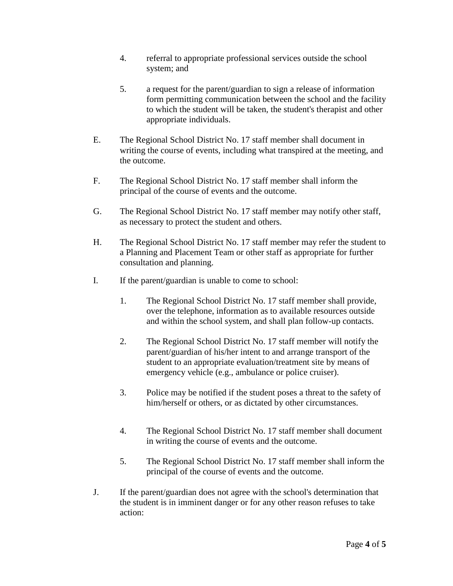- 4. referral to appropriate professional services outside the school system; and
- 5. a request for the parent/guardian to sign a release of information form permitting communication between the school and the facility to which the student will be taken, the student's therapist and other appropriate individuals.
- E. The Regional School District No. 17 staff member shall document in writing the course of events, including what transpired at the meeting, and the outcome.
- F. The Regional School District No. 17 staff member shall inform the principal of the course of events and the outcome.
- G. The Regional School District No. 17 staff member may notify other staff, as necessary to protect the student and others.
- H. The Regional School District No. 17 staff member may refer the student to a Planning and Placement Team or other staff as appropriate for further consultation and planning.
- I. If the parent/guardian is unable to come to school:
	- 1. The Regional School District No. 17 staff member shall provide, over the telephone, information as to available resources outside and within the school system, and shall plan follow-up contacts.
	- 2. The Regional School District No. 17 staff member will notify the parent/guardian of his/her intent to and arrange transport of the student to an appropriate evaluation/treatment site by means of emergency vehicle (e.g., ambulance or police cruiser).
	- 3. Police may be notified if the student poses a threat to the safety of him/herself or others, or as dictated by other circumstances.
	- 4. The Regional School District No. 17 staff member shall document in writing the course of events and the outcome.
	- 5. The Regional School District No. 17 staff member shall inform the principal of the course of events and the outcome.
- J. If the parent/guardian does not agree with the school's determination that the student is in imminent danger or for any other reason refuses to take action: